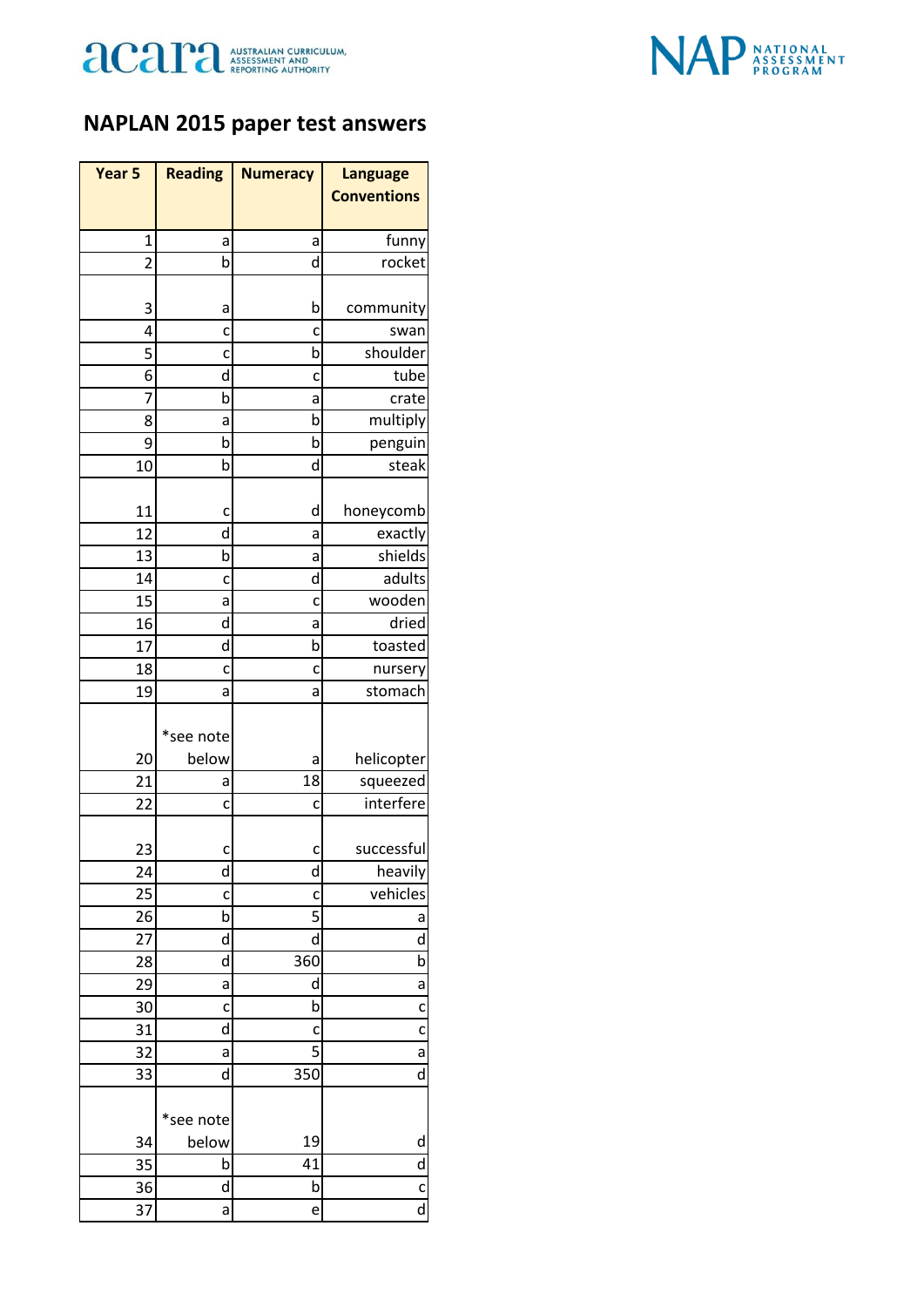



## **NAPLAN 2015 paper test answers**

| Year <sub>5</sub> | <b>Reading</b> | <b>Numeracy</b> | <b>Language</b>         |
|-------------------|----------------|-----------------|-------------------------|
|                   |                |                 | <b>Conventions</b>      |
|                   |                |                 |                         |
| $\mathbf{1}$      | а              | а               | funny                   |
| $\overline{2}$    | b              | d               | rocket                  |
|                   |                |                 |                         |
| 3                 | а              | b               | community               |
| 4                 | c              | c               | swan                    |
| 5                 | C              | b               | shoulder                |
| 6                 | d              | c               | tube                    |
| 7                 | b              | a               | crate                   |
| 8                 | а              | b               | multiply                |
| 9                 | b              | b               | penguin                 |
| 10                | b              | d               | steak                   |
| 11                | c              | d               | honeycomb               |
| 12                | d              | а               | exactly                 |
| 13                | b              | а               | shields                 |
| 14                | c              | d               | adults                  |
| 15                | а              | c               | wooden                  |
| 16                | d              | а               | dried                   |
| 17                | d              | b               | toasted                 |
| 18                | c              | c               | nursery                 |
| 19                | а              | a               | stomach                 |
|                   |                |                 |                         |
|                   | *see note      |                 |                         |
| 20                | below          | а               | helicopter              |
| 21                | а              | 18              | squeezed                |
| 22                | c              | c               | interfere               |
|                   |                |                 |                         |
| 23                | C              | c               | successful              |
| 24                | d              | d               | heavily                 |
| 25                | C              | C               | vehicles                |
| 26                | b              | 5               | а                       |
| 27                | d              | d               | d                       |
| 28                | d              | 360             | b                       |
| 29                | a              | d               | a                       |
| 30                | c              | b               | C                       |
| 31                | d              | c               | C                       |
| 32                | a              | 5               | a                       |
| 33                | d              | 350             | d                       |
|                   | *see note      |                 |                         |
| 34                | below          | 19              | d                       |
| 35                | b              | 41              | d                       |
| 36                | d              | b               | C                       |
| 37                | a              | e               | $\overline{\mathsf{d}}$ |
|                   |                |                 |                         |